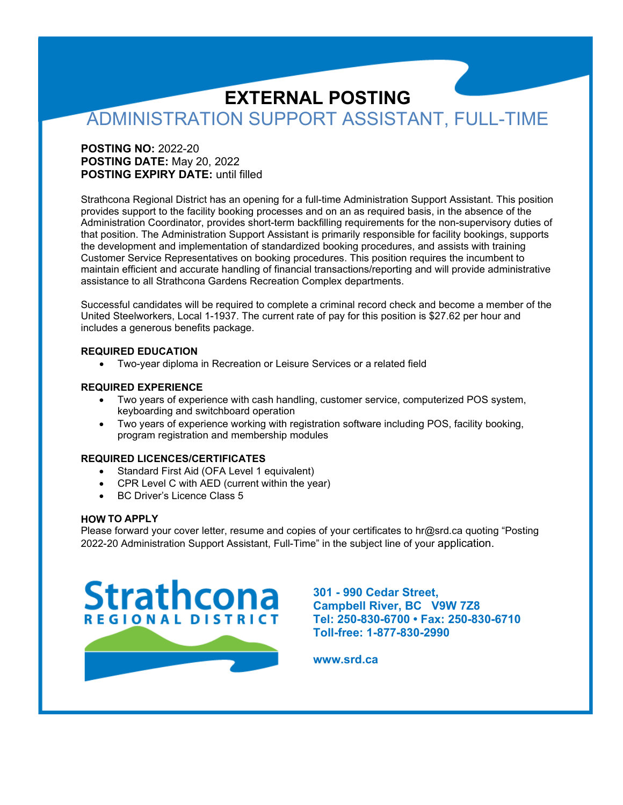# **EXTERNAL POSTING** ADMINISTRATION SUPPORT ASSISTANT, FULL-TIME

### **POSTING NO:** 2022-20 **POSTING DATE:** May 20, 2022 **POSTING EXPIRY DATE:** until filled

Strathcona Regional District has an opening for a full-time Administration Support Assistant. This position provides support to the facility booking processes and on an as required basis, in the absence of the Administration Coordinator, provides short-term backfilling requirements for the non-supervisory duties of that position. The Administration Support Assistant is primarily responsible for facility bookings, supports the development and implementation of standardized booking procedures, and assists with training Customer Service Representatives on booking procedures. This position requires the incumbent to maintain efficient and accurate handling of financial transactions/reporting and will provide administrative assistance to all Strathcona Gardens Recreation Complex departments.

Successful candidates will be required to complete a criminal record check and become a member of the United Steelworkers, Local 1-1937. The current rate of pay for this position is \$27.62 per hour and includes a generous benefits package.

#### **REQUIRED EDUCATION**

• Two-year diploma in Recreation or Leisure Services or a related field

#### **REQUIRED EXPERIENCE**

- Two years of experience with cash handling, customer service, computerized POS system, keyboarding and switchboard operation
- Two years of experience working with registration software including POS, facility booking, program registration and membership modules

#### **REQUIRED LICENCES/CERTIFICATES**

- Standard First Aid (OFA Level 1 equivalent)
- CPR Level C with AED (current within the year)
- BC Driver's Licence Class 5

#### **HOW TO APPLY**

Please forward your cover letter, resume and copies of your certificates to [hr@srd.ca](mailto:hr@srd.ca) quoting "Posting 2022-20 Administration Support Assistant, Full-Time" in the subject line of your application.



**301 - 990 Cedar Street, Campbell River, BC V9W 7Z8 Tel: 250-830-6700 • Fax: 250-830-6710 Toll-free: 1-877-830-2990**

**www.srd.ca**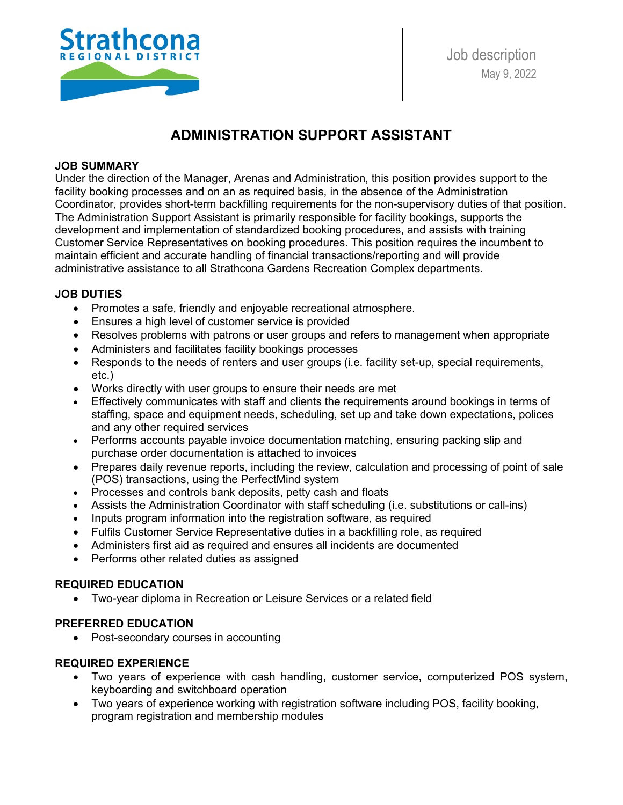

# **ADMINISTRATION SUPPORT ASSISTANT**

#### **JOB SUMMARY**

Under the direction of the Manager, Arenas and Administration, this position provides support to the facility booking processes and on an as required basis, in the absence of the Administration Coordinator, provides short-term backfilling requirements for the non-supervisory duties of that position. The Administration Support Assistant is primarily responsible for facility bookings, supports the development and implementation of standardized booking procedures, and assists with training Customer Service Representatives on booking procedures. This position requires the incumbent to maintain efficient and accurate handling of financial transactions/reporting and will provide administrative assistance to all Strathcona Gardens Recreation Complex departments.

### **JOB DUTIES**

- Promotes a safe, friendly and enjoyable recreational atmosphere.
- Ensures a high level of customer service is provided
- Resolves problems with patrons or user groups and refers to management when appropriate
- Administers and facilitates facility bookings processes
- Responds to the needs of renters and user groups (i.e. facility set-up, special requirements, etc.)
- Works directly with user groups to ensure their needs are met
- Effectively communicates with staff and clients the requirements around bookings in terms of staffing, space and equipment needs, scheduling, set up and take down expectations, polices and any other required services
- Performs accounts payable invoice documentation matching, ensuring packing slip and purchase order documentation is attached to invoices
- Prepares daily revenue reports, including the review, calculation and processing of point of sale (POS) transactions, using the PerfectMind system
- Processes and controls bank deposits, petty cash and floats
- Assists the Administration Coordinator with staff scheduling (i.e. substitutions or call-ins)
- Inputs program information into the registration software, as required
- Fulfils Customer Service Representative duties in a backfilling role, as required
- Administers first aid as required and ensures all incidents are documented
- Performs other related duties as assigned

# **REQUIRED EDUCATION**

• Two-year diploma in Recreation or Leisure Services or a related field

### **PREFERRED EDUCATION**

• Post-secondary courses in accounting

# **REQUIRED EXPERIENCE**

- Two years of experience with cash handling, customer service, computerized POS system, keyboarding and switchboard operation
- Two years of experience working with registration software including POS, facility booking, program registration and membership modules